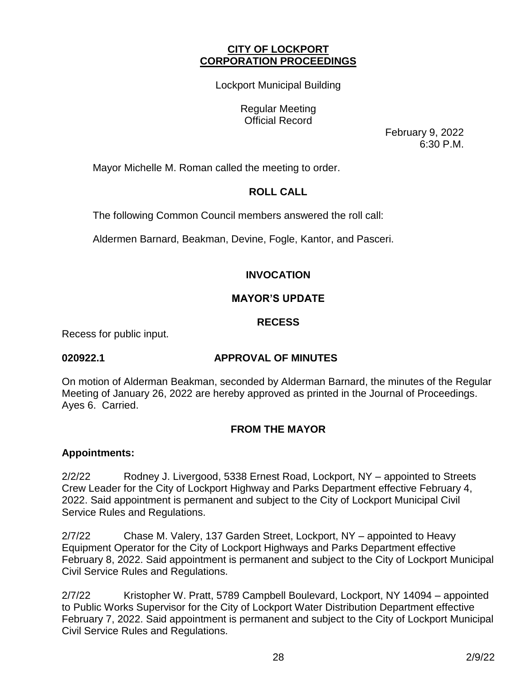## **CITY OF LOCKPORT CORPORATION PROCEEDINGS**

Lockport Municipal Building

Regular Meeting Official Record

February 9, 2022 6:30 P.M.

Mayor Michelle M. Roman called the meeting to order.

# **ROLL CALL**

The following Common Council members answered the roll call:

Aldermen Barnard, Beakman, Devine, Fogle, Kantor, and Pasceri.

# **INVOCATION**

## **MAYOR'S UPDATE**

## **RECESS**

Recess for public input.

# **020922.1 APPROVAL OF MINUTES**

On motion of Alderman Beakman, seconded by Alderman Barnard, the minutes of the Regular Meeting of January 26, 2022 are hereby approved as printed in the Journal of Proceedings. Ayes 6. Carried.

# **FROM THE MAYOR**

## **Appointments:**

2/2/22 Rodney J. Livergood, 5338 Ernest Road, Lockport, NY – appointed to Streets Crew Leader for the City of Lockport Highway and Parks Department effective February 4, 2022. Said appointment is permanent and subject to the City of Lockport Municipal Civil Service Rules and Regulations.

2/7/22 Chase M. Valery, 137 Garden Street, Lockport, NY – appointed to Heavy Equipment Operator for the City of Lockport Highways and Parks Department effective February 8, 2022. Said appointment is permanent and subject to the City of Lockport Municipal Civil Service Rules and Regulations.

2/7/22 Kristopher W. Pratt, 5789 Campbell Boulevard, Lockport, NY 14094 – appointed to Public Works Supervisor for the City of Lockport Water Distribution Department effective February 7, 2022. Said appointment is permanent and subject to the City of Lockport Municipal Civil Service Rules and Regulations.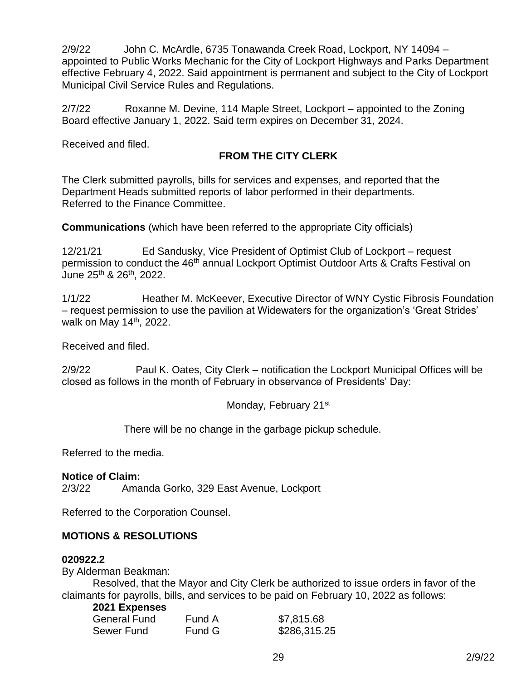2/9/22 John C. McArdle, 6735 Tonawanda Creek Road, Lockport, NY 14094 – appointed to Public Works Mechanic for the City of Lockport Highways and Parks Department effective February 4, 2022. Said appointment is permanent and subject to the City of Lockport Municipal Civil Service Rules and Regulations.

2/7/22 Roxanne M. Devine, 114 Maple Street, Lockport – appointed to the Zoning Board effective January 1, 2022. Said term expires on December 31, 2024.

Received and filed.

# **FROM THE CITY CLERK**

The Clerk submitted payrolls, bills for services and expenses, and reported that the Department Heads submitted reports of labor performed in their departments. Referred to the Finance Committee.

**Communications** (which have been referred to the appropriate City officials)

12/21/21 Ed Sandusky, Vice President of Optimist Club of Lockport – request permission to conduct the 46<sup>th</sup> annual Lockport Optimist Outdoor Arts & Crafts Festival on June 25th & 26th, 2022.

1/1/22 Heather M. McKeever, Executive Director of WNY Cystic Fibrosis Foundation – request permission to use the pavilion at Widewaters for the organization's 'Great Strides' walk on May 14<sup>th</sup>, 2022.

Received and filed.

2/9/22 Paul K. Oates, City Clerk – notification the Lockport Municipal Offices will be closed as follows in the month of February in observance of Presidents' Day:

Monday, February 21<sup>st</sup>

There will be no change in the garbage pickup schedule.

Referred to the media.

## **Notice of Claim:**

2/3/22 Amanda Gorko, 329 East Avenue, Lockport

Referred to the Corporation Counsel.

# **MOTIONS & RESOLUTIONS**

## **020922.2**

By Alderman Beakman:

Resolved, that the Mayor and City Clerk be authorized to issue orders in favor of the claimants for payrolls, bills, and services to be paid on February 10, 2022 as follows:

## **2021 Expenses**

| General Fund | Fund A | \$7,815.68   |
|--------------|--------|--------------|
| Sewer Fund   | Fund G | \$286,315.25 |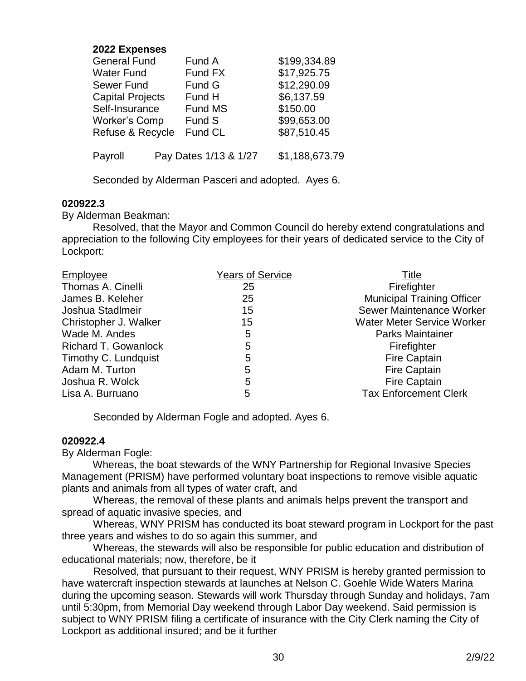## **2022 Expenses**

| General Fund            |  | Fund A                | \$199,334.89   |  |
|-------------------------|--|-----------------------|----------------|--|
| Water Fund              |  | Fund FX               | \$17,925.75    |  |
| <b>Sewer Fund</b>       |  | Fund G                | \$12,290.09    |  |
| <b>Capital Projects</b> |  | Fund H                | \$6,137.59     |  |
| Self-Insurance          |  | <b>Fund MS</b>        | \$150.00       |  |
| <b>Worker's Comp</b>    |  | Fund S                | \$99,653.00    |  |
| Refuse & Recycle        |  | Fund CL               | \$87,510.45    |  |
| Payroll                 |  | Pay Dates 1/13 & 1/27 | \$1,188,673.79 |  |
|                         |  |                       |                |  |

Seconded by Alderman Pasceri and adopted. Ayes 6.

#### **020922.3**

By Alderman Beakman:

Resolved, that the Mayor and Common Council do hereby extend congratulations and appreciation to the following City employees for their years of dedicated service to the City of Lockport:

| <b>Municipal Training Officer</b>                                 |
|-------------------------------------------------------------------|
| Sewer Maintenance Worker                                          |
| <b>Water Meter Service Worker</b>                                 |
| <b>Parks Maintainer</b>                                           |
|                                                                   |
|                                                                   |
|                                                                   |
|                                                                   |
| <b>Tax Enforcement Clerk</b>                                      |
| <b>Fire Captain</b><br><b>Fire Captain</b><br><b>Fire Captain</b> |

Seconded by Alderman Fogle and adopted. Ayes 6.

#### **020922.4**

By Alderman Fogle:

Whereas, the boat stewards of the WNY Partnership for Regional Invasive Species Management (PRISM) have performed voluntary boat inspections to remove visible aquatic plants and animals from all types of water craft, and

 Whereas, the removal of these plants and animals helps prevent the transport and spread of aquatic invasive species, and

 Whereas, WNY PRISM has conducted its boat steward program in Lockport for the past three years and wishes to do so again this summer, and

 Whereas, the stewards will also be responsible for public education and distribution of educational materials; now, therefore, be it

 Resolved, that pursuant to their request, WNY PRISM is hereby granted permission to have watercraft inspection stewards at launches at Nelson C. Goehle Wide Waters Marina during the upcoming season. Stewards will work Thursday through Sunday and holidays, 7am until 5:30pm, from Memorial Day weekend through Labor Day weekend. Said permission is subject to WNY PRISM filing a certificate of insurance with the City Clerk naming the City of Lockport as additional insured; and be it further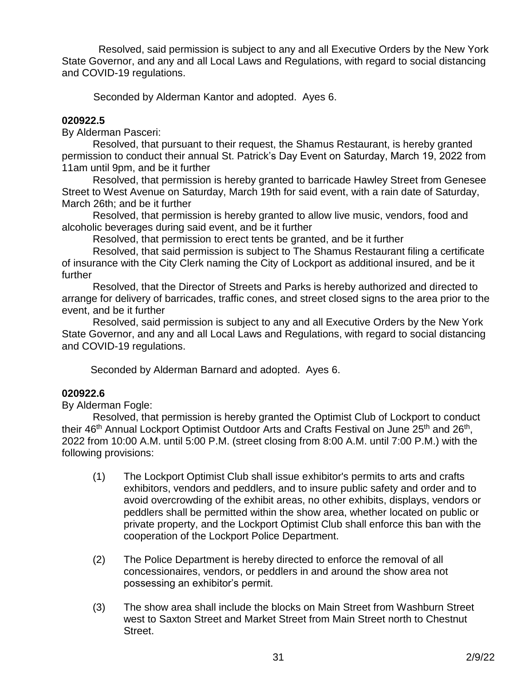Resolved, said permission is subject to any and all Executive Orders by the New York State Governor, and any and all Local Laws and Regulations, with regard to social distancing and COVID-19 regulations.

Seconded by Alderman Kantor and adopted. Ayes 6.

## **020922.5**

By Alderman Pasceri:

Resolved, that pursuant to their request, the Shamus Restaurant, is hereby granted permission to conduct their annual St. Patrick's Day Event on Saturday, March 19, 2022 from 11am until 9pm, and be it further

Resolved, that permission is hereby granted to barricade Hawley Street from Genesee Street to West Avenue on Saturday, March 19th for said event, with a rain date of Saturday, March 26th; and be it further

Resolved, that permission is hereby granted to allow live music, vendors, food and alcoholic beverages during said event, and be it further

Resolved, that permission to erect tents be granted, and be it further

Resolved, that said permission is subject to The Shamus Restaurant filing a certificate of insurance with the City Clerk naming the City of Lockport as additional insured, and be it further

Resolved, that the Director of Streets and Parks is hereby authorized and directed to arrange for delivery of barricades, traffic cones, and street closed signs to the area prior to the event, and be it further

Resolved, said permission is subject to any and all Executive Orders by the New York State Governor, and any and all Local Laws and Regulations, with regard to social distancing and COVID-19 regulations.

Seconded by Alderman Barnard and adopted. Ayes 6.

# **020922.6**

By Alderman Fogle:

Resolved, that permission is hereby granted the Optimist Club of Lockport to conduct their 46<sup>th</sup> Annual Lockport Optimist Outdoor Arts and Crafts Festival on June 25<sup>th</sup> and 26<sup>th</sup>, 2022 from 10:00 A.M. until 5:00 P.M. (street closing from 8:00 A.M. until 7:00 P.M.) with the following provisions:

- (1) The Lockport Optimist Club shall issue exhibitor's permits to arts and crafts exhibitors, vendors and peddlers, and to insure public safety and order and to avoid overcrowding of the exhibit areas, no other exhibits, displays, vendors or peddlers shall be permitted within the show area, whether located on public or private property, and the Lockport Optimist Club shall enforce this ban with the cooperation of the Lockport Police Department.
- (2) The Police Department is hereby directed to enforce the removal of all concessionaires, vendors, or peddlers in and around the show area not possessing an exhibitor's permit.
- (3) The show area shall include the blocks on Main Street from Washburn Street west to Saxton Street and Market Street from Main Street north to Chestnut Street.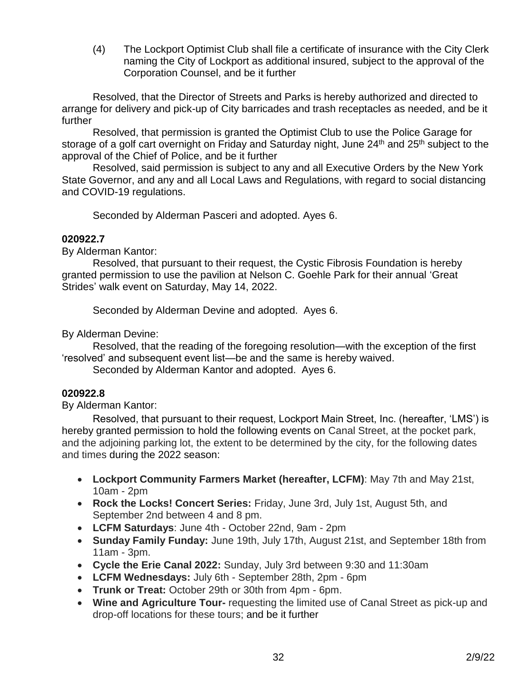(4) The Lockport Optimist Club shall file a certificate of insurance with the City Clerk naming the City of Lockport as additional insured, subject to the approval of the Corporation Counsel, and be it further

Resolved, that the Director of Streets and Parks is hereby authorized and directed to arrange for delivery and pick-up of City barricades and trash receptacles as needed, and be it further

Resolved, that permission is granted the Optimist Club to use the Police Garage for storage of a golf cart overnight on Friday and Saturday night, June 24<sup>th</sup> and 25<sup>th</sup> subject to the approval of the Chief of Police, and be it further

Resolved, said permission is subject to any and all Executive Orders by the New York State Governor, and any and all Local Laws and Regulations, with regard to social distancing and COVID-19 regulations.

Seconded by Alderman Pasceri and adopted. Ayes 6.

## **020922.7**

By Alderman Kantor:

Resolved, that pursuant to their request, the Cystic Fibrosis Foundation is hereby granted permission to use the pavilion at Nelson C. Goehle Park for their annual 'Great Strides' walk event on Saturday, May 14, 2022.

Seconded by Alderman Devine and adopted. Ayes 6.

By Alderman Devine:

Resolved, that the reading of the foregoing resolution—with the exception of the first 'resolved' and subsequent event list—be and the same is hereby waived.

Seconded by Alderman Kantor and adopted. Ayes 6.

# **020922.8**

By Alderman Kantor:

Resolved, that pursuant to their request, Lockport Main Street, Inc. (hereafter, 'LMS') is hereby granted permission to hold the following events on Canal Street, at the pocket park, and the adjoining parking lot, the extent to be determined by the city, for the following dates and times during the 2022 season:

- **Lockport Community Farmers Market (hereafter, LCFM)**: May 7th and May 21st, 10am - 2pm
- **Rock the Locks! Concert Series:** Friday, June 3rd, July 1st, August 5th, and September 2nd between 4 and 8 pm.
- **LCFM Saturdays**: June 4th October 22nd, 9am 2pm
- **Sunday Family Funday:** June 19th, July 17th, August 21st, and September 18th from 11am - 3pm.
- **Cycle the Erie Canal 2022:** Sunday, July 3rd between 9:30 and 11:30am
- **LCFM Wednesdays:** July 6th September 28th, 2pm 6pm
- **Trunk or Treat:** October 29th or 30th from 4pm 6pm.
- **Wine and Agriculture Tour-** requesting the limited use of Canal Street as pick-up and drop-off locations for these tours; and be it further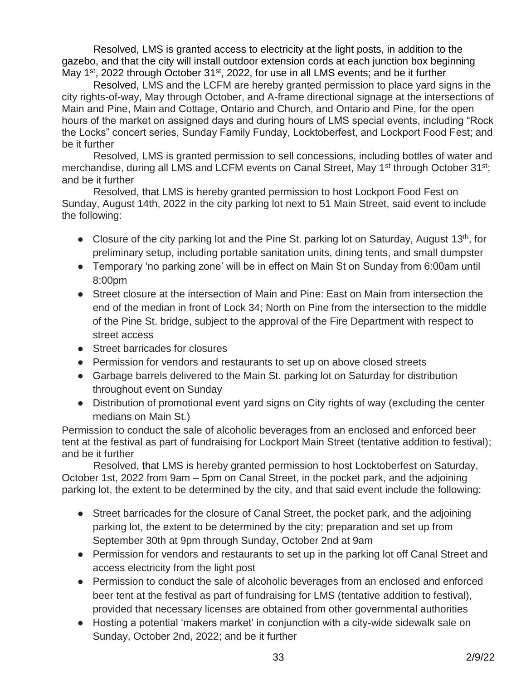Resolved, LMS is granted access to electricity at the light posts, in addition to the gazebo, and that the city will install outdoor extension cords at each junction box beginning May 1<sup>st</sup>, 2022 through October 31<sup>st</sup>, 2022, for use in all LMS events; and be it further

 Resolved, LMS and the LCFM are hereby granted permission to place yard signs in the city rights-of-way, May through October, and A-frame directional signage at the intersections of Main and Pine, Main and Cottage, Ontario and Church, and Ontario and Pine, for the open hours of the market on assigned days and during hours of LMS special events, including "Rock the Locks" concert series, Sunday Family Funday, Locktoberfest, and Lockport Food Fest; and be it further

 Resolved, LMS is granted permission to sell concessions, including bottles of water and merchandise, during all LMS and LCFM events on Canal Street, May 1<sup>st</sup> through October 31<sup>st</sup>; and be it further

 Resolved, that LMS is hereby granted permission to host Lockport Food Fest on Sunday, August 14th, 2022 in the city parking lot next to 51 Main Street, said event to include the following:

- Closure of the city parking lot and the Pine St. parking lot on Saturday, August 13<sup>th</sup>, for preliminary setup, including portable sanitation units, dining tents, and small dumpster
- Temporary 'no parking zone' will be in effect on Main St on Sunday from 6:00am until 8:00pm
- Street closure at the intersection of Main and Pine: East on Main from intersection the end of the median in front of Lock 34; North on Pine from the intersection to the middle of the Pine St. bridge, subject to the approval of the Fire Department with respect to street access
- Street barricades for closures
- Permission for vendors and restaurants to set up on above closed streets
- Garbage barrels delivered to the Main St. parking lot on Saturday for distribution throughout event on Sunday
- Distribution of promotional event yard signs on City rights of way (excluding the center medians on Main St.)

Permission to conduct the sale of alcoholic beverages from an enclosed and enforced beer tent at the festival as part of fundraising for Lockport Main Street (tentative addition to festival); and be it further

 Resolved, that LMS is hereby granted permission to host Locktoberfest on Saturday, October 1st, 2022 from 9am – 5pm on Canal Street, in the pocket park, and the adjoining parking lot, the extent to be determined by the city, and that said event include the following:

- Street barricades for the closure of Canal Street, the pocket park, and the adjoining parking lot, the extent to be determined by the city; preparation and set up from September 30th at 9pm through Sunday, October 2nd at 9am
- Permission for vendors and restaurants to set up in the parking lot off Canal Street and access electricity from the light post
- Permission to conduct the sale of alcoholic beverages from an enclosed and enforced beer tent at the festival as part of fundraising for LMS (tentative addition to festival), provided that necessary licenses are obtained from other governmental authorities
- Hosting a potential 'makers market' in conjunction with a city-wide sidewalk sale on Sunday, October 2nd, 2022; and be it further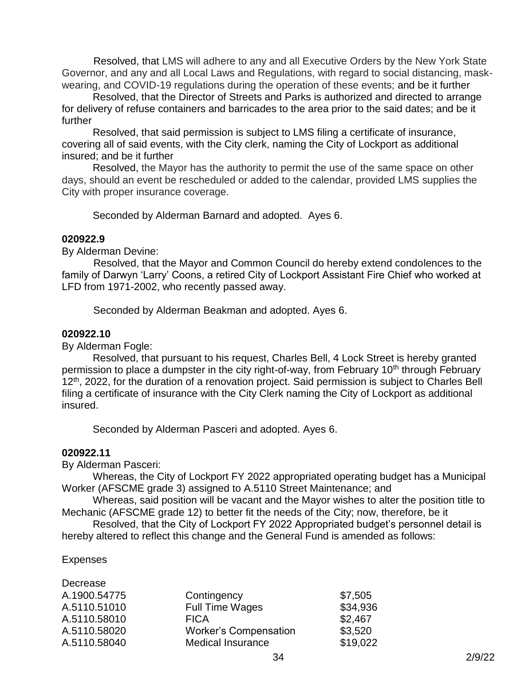Resolved, that LMS will adhere to any and all Executive Orders by the New York State Governor, and any and all Local Laws and Regulations, with regard to social distancing, maskwearing, and COVID-19 regulations during the operation of these events; and be it further

Resolved, that the Director of Streets and Parks is authorized and directed to arrange for delivery of refuse containers and barricades to the area prior to the said dates; and be it further

Resolved, that said permission is subject to LMS filing a certificate of insurance, covering all of said events, with the City clerk, naming the City of Lockport as additional insured; and be it further

Resolved, the Mayor has the authority to permit the use of the same space on other days, should an event be rescheduled or added to the calendar, provided LMS supplies the City with proper insurance coverage.

Seconded by Alderman Barnard and adopted. Ayes 6.

#### **020922.9**

By Alderman Devine:

 Resolved, that the Mayor and Common Council do hereby extend condolences to the family of Darwyn 'Larry' Coons, a retired City of Lockport Assistant Fire Chief who worked at LFD from 1971-2002, who recently passed away.

Seconded by Alderman Beakman and adopted. Ayes 6.

#### **020922.10**

By Alderman Fogle:

Resolved, that pursuant to his request, Charles Bell, 4 Lock Street is hereby granted permission to place a dumpster in the city right-of-way, from February 10<sup>th</sup> through February 12<sup>th</sup>, 2022, for the duration of a renovation project. Said permission is subject to Charles Bell filing a certificate of insurance with the City Clerk naming the City of Lockport as additional insured.

Seconded by Alderman Pasceri and adopted. Ayes 6.

## **020922.11**

By Alderman Pasceri:

Whereas, the City of Lockport FY 2022 appropriated operating budget has a Municipal Worker (AFSCME grade 3) assigned to A.5110 Street Maintenance; and

Whereas, said position will be vacant and the Mayor wishes to alter the position title to Mechanic (AFSCME grade 12) to better fit the needs of the City; now, therefore, be it

Resolved, that the City of Lockport FY 2022 Appropriated budget's personnel detail is hereby altered to reflect this change and the General Fund is amended as follows:

## Expenses

Decrease

| Decrease     |                              |          |
|--------------|------------------------------|----------|
| A.1900.54775 | Contingency                  | \$7,505  |
| A.5110.51010 | <b>Full Time Wages</b>       | \$34,936 |
| A.5110.58010 | <b>FICA</b>                  | \$2,467  |
| A.5110.58020 | <b>Worker's Compensation</b> | \$3,520  |
| A.5110.58040 | <b>Medical Insurance</b>     | \$19,022 |
|              |                              |          |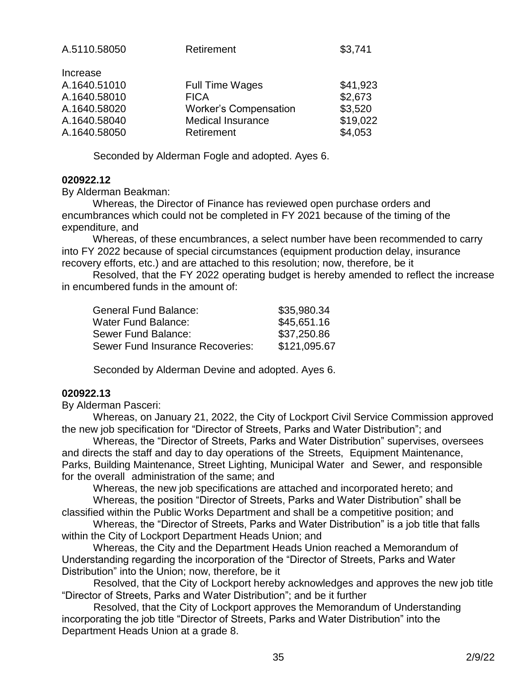| A.5110.58050 | Retirement                   | \$3,741  |
|--------------|------------------------------|----------|
| Increase     |                              |          |
| A.1640.51010 | <b>Full Time Wages</b>       | \$41,923 |
| A.1640.58010 | <b>FICA</b>                  | \$2,673  |
| A.1640.58020 | <b>Worker's Compensation</b> | \$3,520  |
| A.1640.58040 | <b>Medical Insurance</b>     | \$19,022 |
| A.1640.58050 | Retirement                   | \$4,053  |
|              |                              |          |

Seconded by Alderman Fogle and adopted. Ayes 6.

#### **020922.12**

By Alderman Beakman:

Whereas, the Director of Finance has reviewed open purchase orders and encumbrances which could not be completed in FY 2021 because of the timing of the expenditure, and

Whereas, of these encumbrances, a select number have been recommended to carry into FY 2022 because of special circumstances (equipment production delay, insurance recovery efforts, etc.) and are attached to this resolution; now, therefore, be it

Resolved, that the FY 2022 operating budget is hereby amended to reflect the increase in encumbered funds in the amount of:

| <b>General Fund Balance:</b>     | \$35,980.34  |
|----------------------------------|--------------|
| <b>Water Fund Balance:</b>       | \$45,651.16  |
| Sewer Fund Balance:              | \$37,250.86  |
| Sewer Fund Insurance Recoveries: | \$121,095.67 |

Seconded by Alderman Devine and adopted. Ayes 6.

## **020922.13**

By Alderman Pasceri:

 Whereas, on January 21, 2022, the City of Lockport Civil Service Commission approved the new job specification for "Director of Streets, Parks and Water Distribution"; and

 Whereas, the "Director of Streets, Parks and Water Distribution" supervises, oversees and directs the staff and day to day operations of the Streets, Equipment Maintenance, Parks, Building Maintenance, Street Lighting, Municipal Water and Sewer, and responsible for the overall administration of the same; and

 Whereas, the new job specifications are attached and incorporated hereto; and Whereas, the position "Director of Streets, Parks and Water Distribution" shall be

classified within the Public Works Department and shall be a competitive position; and

 Whereas, the "Director of Streets, Parks and Water Distribution" is a job title that falls within the City of Lockport Department Heads Union; and

 Whereas, the City and the Department Heads Union reached a Memorandum of Understanding regarding the incorporation of the "Director of Streets, Parks and Water Distribution" into the Union; now, therefore, be it

 Resolved, that the City of Lockport hereby acknowledges and approves the new job title "Director of Streets, Parks and Water Distribution"; and be it further

 Resolved, that the City of Lockport approves the Memorandum of Understanding incorporating the job title "Director of Streets, Parks and Water Distribution" into the Department Heads Union at a grade 8.